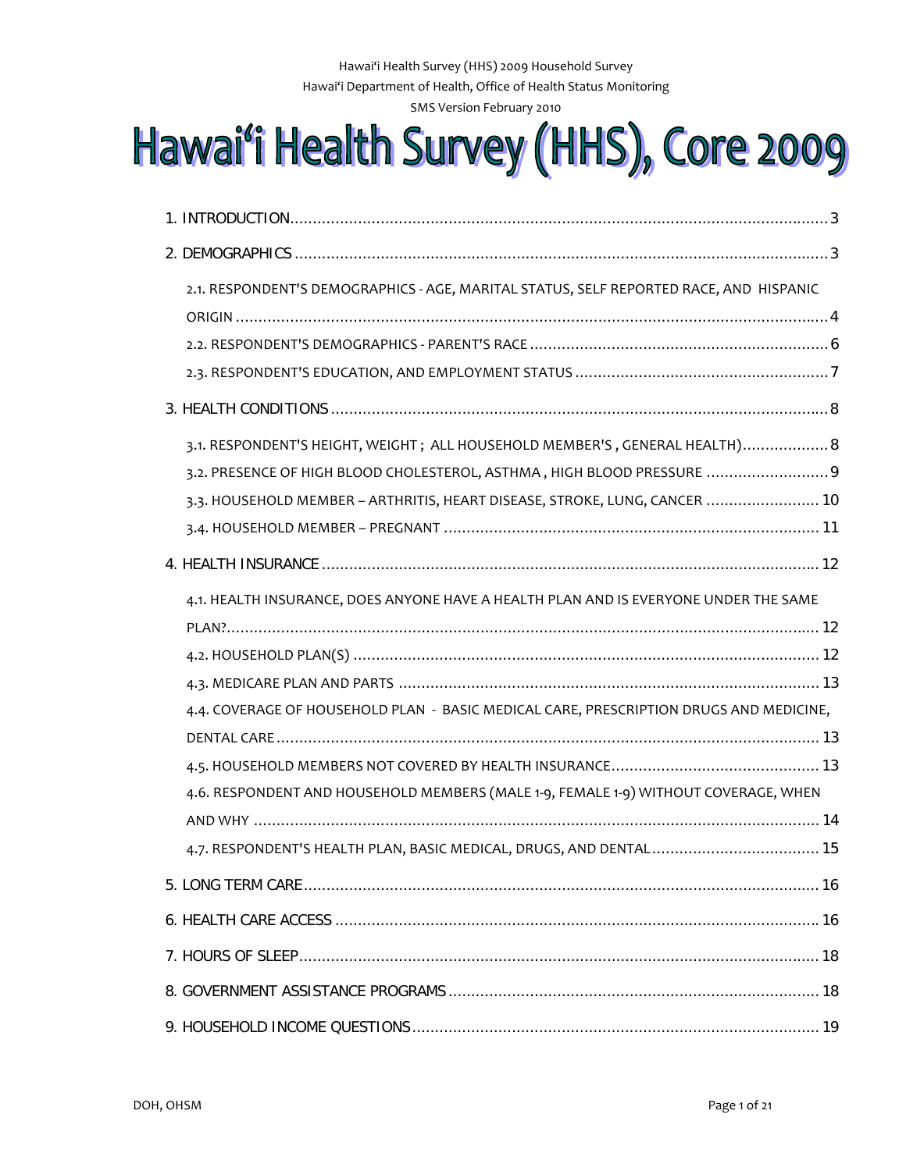Hawai'i Health Survey (HHS) 2009 Household Survey Hawai'i Department of Health, Office of Health Status Monitoring SMS Version February 2010

# Hawai'i Health Survey (HHS), Core 2009

| 2.1. RESPONDENT'S DEMOGRAPHICS - AGE, MARITAL STATUS, SELF REPORTED RACE, AND HISPANIC                                                                                                                                                                                                                                                      |  |  |
|---------------------------------------------------------------------------------------------------------------------------------------------------------------------------------------------------------------------------------------------------------------------------------------------------------------------------------------------|--|--|
|                                                                                                                                                                                                                                                                                                                                             |  |  |
|                                                                                                                                                                                                                                                                                                                                             |  |  |
| 3.1. RESPONDENT'S HEIGHT, WEIGHT; ALL HOUSEHOLD MEMBER'S, GENERAL HEALTH) 8<br>3.2. PRESENCE OF HIGH BLOOD CHOLESTEROL, ASTHMA, HIGH BLOOD PRESSURE 9<br>3.3. HOUSEHOLD MEMBER - ARTHRITIS, HEART DISEASE, STROKE, LUNG, CANCER  10                                                                                                         |  |  |
|                                                                                                                                                                                                                                                                                                                                             |  |  |
| 4.1. HEALTH INSURANCE, DOES ANYONE HAVE A HEALTH PLAN AND IS EVERYONE UNDER THE SAME<br>4.4. COVERAGE OF HOUSEHOLD PLAN - BASIC MEDICAL CARE, PRESCRIPTION DRUGS AND MEDICINE,<br>4.6. RESPONDENT AND HOUSEHOLD MEMBERS (MALE 1-9, FEMALE 1-9) WITHOUT COVERAGE, WHEN<br>4.7. RESPONDENT'S HEALTH PLAN, BASIC MEDICAL, DRUGS, AND DENTAL 15 |  |  |
|                                                                                                                                                                                                                                                                                                                                             |  |  |
|                                                                                                                                                                                                                                                                                                                                             |  |  |
|                                                                                                                                                                                                                                                                                                                                             |  |  |
|                                                                                                                                                                                                                                                                                                                                             |  |  |
|                                                                                                                                                                                                                                                                                                                                             |  |  |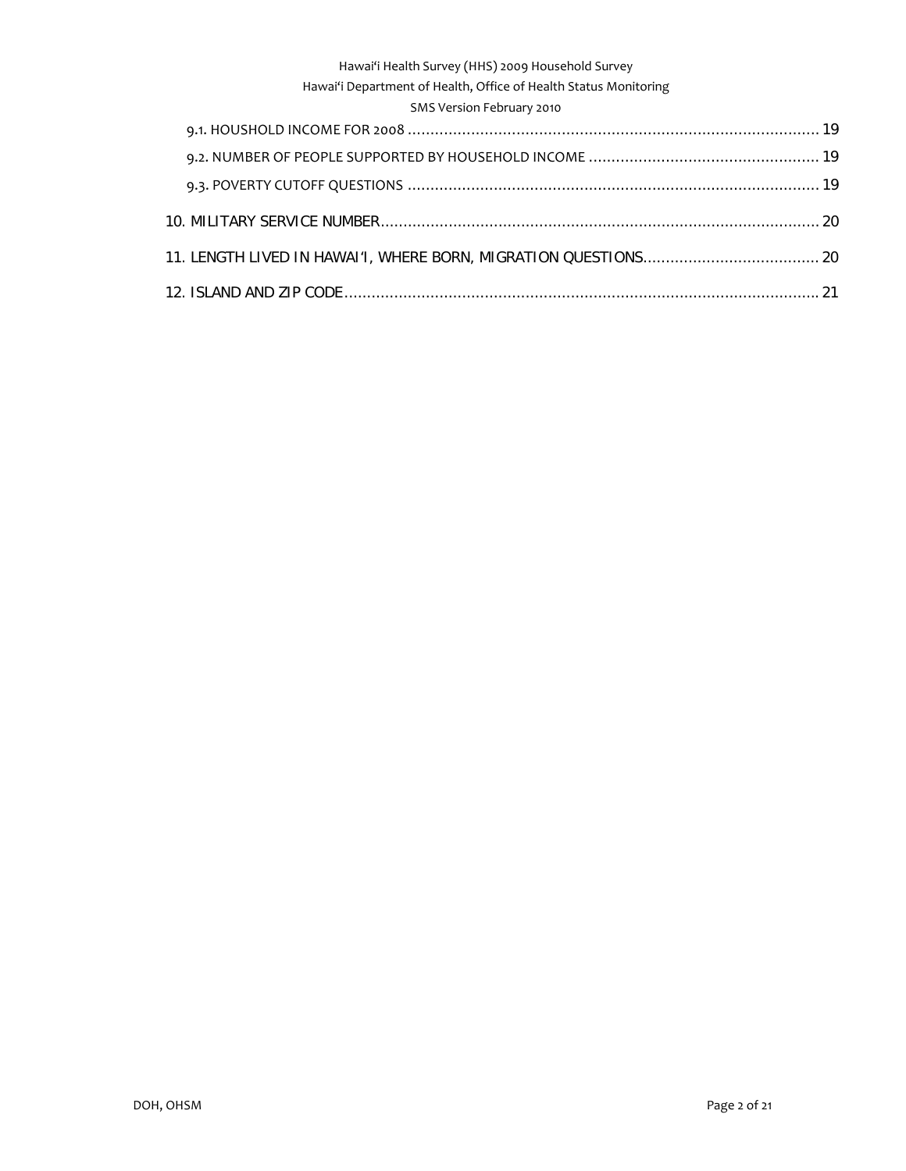## Hawai'i Department of Health, Office of Health Status Monitoring

## SMS Version February 2010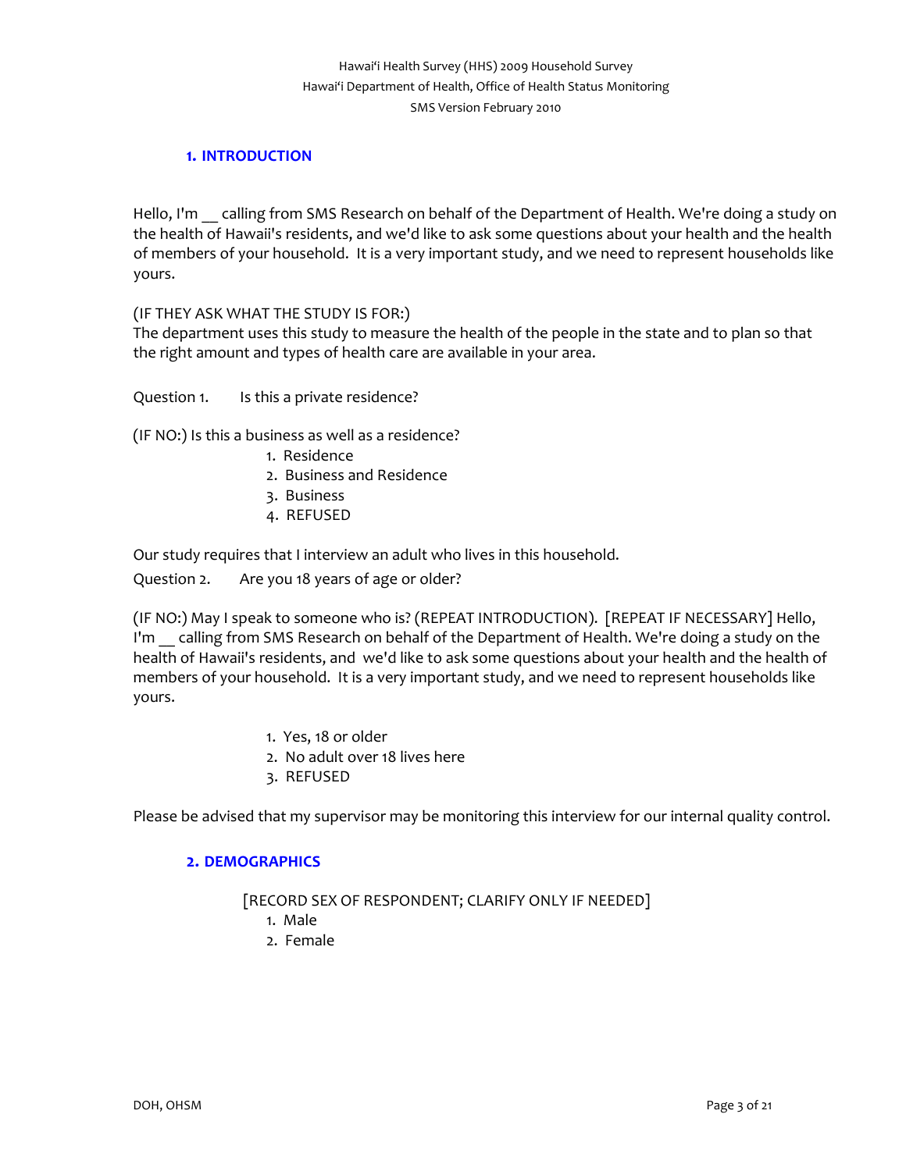# Hawai'i Health Survey (HHS) 2009 Household Survey Hawai'i Department of Health, Office of Health Status Monitoring SMS Version February 2010

# **1. INTRODUCTION**

<span id="page-2-0"></span>Hello, I'm calling from SMS Research on behalf of the Department of Health. We're doing a study on the health of Hawaii's residents, and we'd like to ask some questions about your health and the health of members of your household. It is a very important study, and we need to represent households like yours.

## (IF THEY ASK WHAT THE STUDY IS FOR:)

The department uses this study to measure the health of the people in the state and to plan so that the right amount and types of health care are available in your area.

Question 1. Is this a private residence?

(IF NO:) Is this a business as well as a residence?

- 1. Residence
- 2. Business and Residence
- 3. Business
- 4. REFUSED

Our study requires that I interview an adult who lives in this household.

Question 2. Are you 18 years of age or older?

(IF NO:) May I speak to someone who is? (REPEAT INTRODUCTION). [REPEAT IF NECESSARY] Hello, I'm calling from SMS Research on behalf of the Department of Health. We're doing a study on the health of Hawaii's residents, and we'd like to ask some questions about your health and the health of members of your household. It is a very important study, and we need to represent households like yours.

- 1. Yes, 18 or older
- 2. No adult over 18 lives here
- 3. REFUSED

<span id="page-2-1"></span>Please be advised that my supervisor may be monitoring this interview for our internal quality control.

## **2. DEMOGRAPHICS**

[RECORD SEX OF RESPONDENT; CLARIFY ONLY IF NEEDED]

- 1. Male
- 2. Female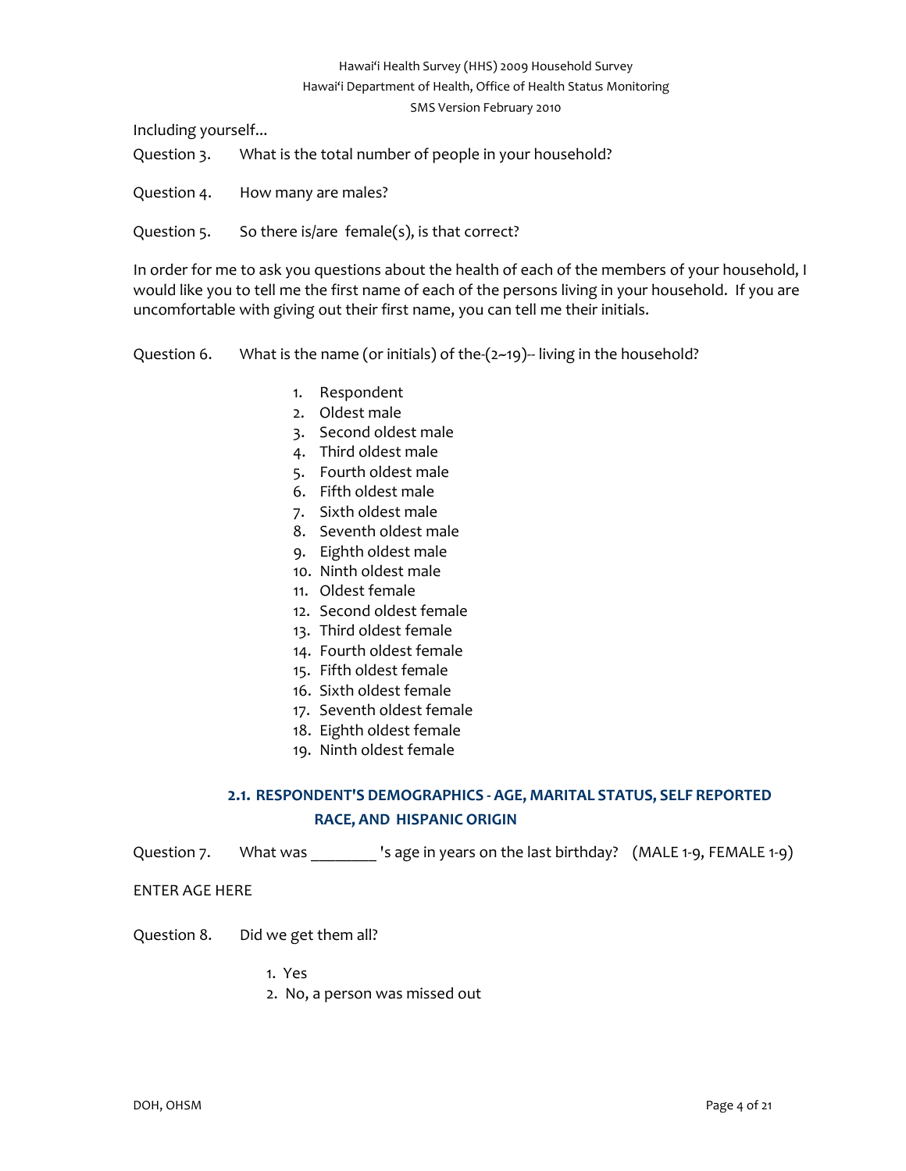# Hawai'i Health Survey (HHS) 2009 Household Survey Hawai'i Department of Health, Office of Health Status Monitoring SMS Version February 2010

Including yourself...

Question 3. What is the total number of people in your household?

- Question 4. How many are males?
- Question 5. So there is/are female(s), is that correct?

In order for me to ask you questions about the health of each of the members of your household, I would like you to tell me the first name of each of the persons living in your household. If you are uncomfortable with giving out their first name, you can tell me their initials.

Question 6. What is the name (or initials) of the- $(2-19)$ --living in the household?

- 1. Respondent
- 2. Oldest male
- 3. Second oldest male
- 4. Third oldest male
- 5. Fourth oldest male
- 6. Fifth oldest male
- 7. Sixth oldest male
- 8. Seventh oldest male
- 9. Eighth oldest male
- 10. Ninth oldest male
- 11. Oldest female
- 12. Second oldest female
- 13. Third oldest female
- 14. Fourth oldest female
- 15. Fifth oldest female
- 16. Sixth oldest female
- 17. Seventh oldest female
- 18. Eighth oldest female
- 19. Ninth oldest female

# **2.1. RESPONDENT'S DEMOGRAPHICS ‐ AGE, MARITAL STATUS, SELF REPORTED RACE, AND HISPANIC ORIGIN**

<span id="page-3-0"></span>Question 7. What was \_\_\_\_\_\_\_\_ 's age in years on the last birthday? (MALE 1-9, FEMALE 1-9)

ENTER AGE HERE

Question 8. Did we get them all?

- 1. Yes
- 2. No, a person was missed out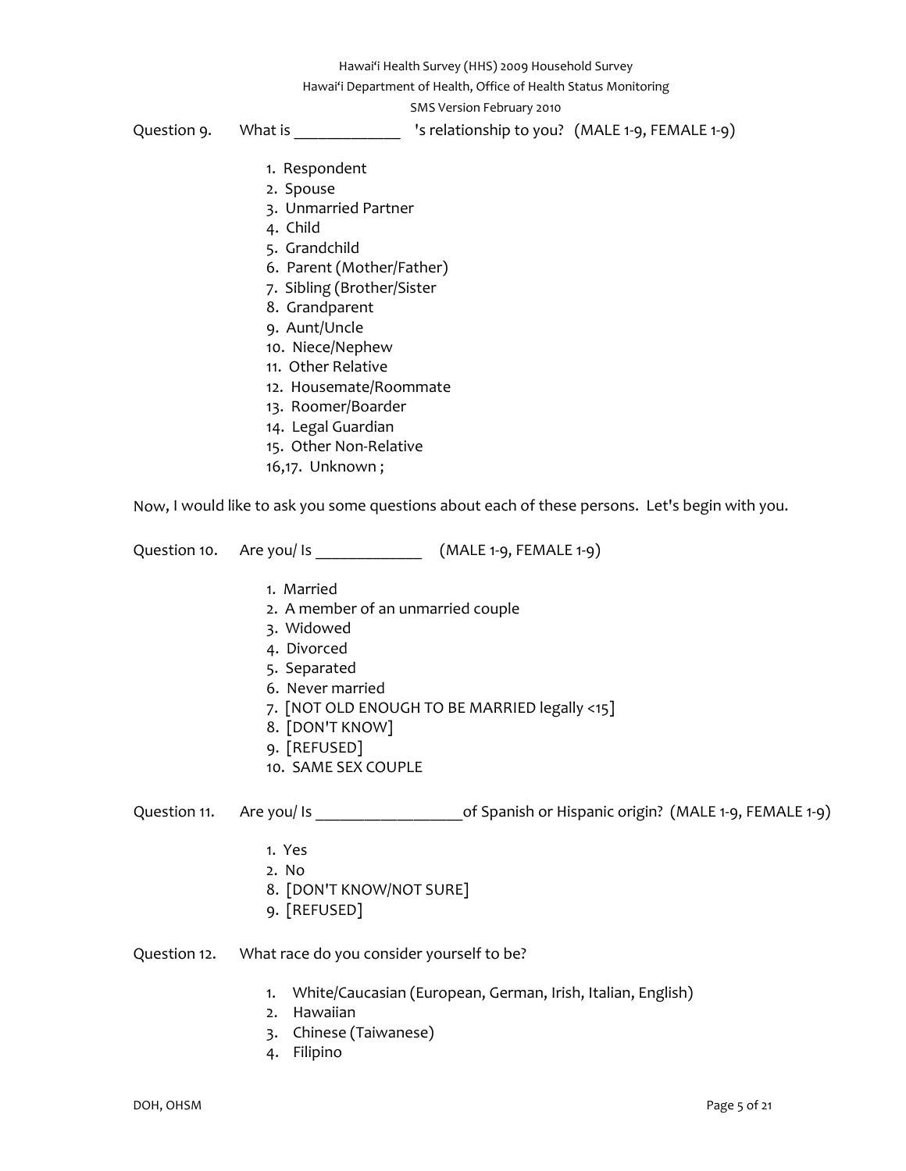Hawai'i Department of Health, Office of Health Status Monitoring

SMS Version February 2010

Question 9. What is  $\qquad \qquad$  's relationship to you? (MALE 1-9, FEMALE 1-9)

- 1. Respondent
- 2. Spouse
- 3. Unmarried Partner
- 4. Child
- 5. Grandchild
- 6. Parent (Mother/Father)
- 7. Sibling (Brother/Sister
- 8. Grandparent
- 9. Aunt/Uncle
- 10. Niece/Nephew
- 11. Other Relative
- 12. Housemate/Roommate
- 13. Roomer/Boarder
- 14. Legal Guardian
- 15. Other Non‐Relative
- 16,17. Unknown ;

Now, I would like to ask you some questions about each of these persons. Let's begin with you.

Question 10. Are you/ Is \_\_\_\_\_\_\_\_\_\_\_\_\_\_\_\_\_\_\_\_\_\_\_ (MALE 1-9, FEMALE 1-9)

- 1. Married
- 2. A member of an unmarried couple
- 3. Widowed
- 4. Divorced
- 5. Separated
- 6. Never married
- 7. [NOT OLD ENOUGH TO BE MARRIED legally <15]
- 8. [DON'T KNOW]
- 9. [REFUSED]
- 10. SAME SEX COUPLE

Question 11. Are you/ Is \_\_\_\_\_\_\_\_\_\_\_\_\_\_\_\_\_\_\_\_\_\_\_\_\_\_\_of Spanish or Hispanic origin? (MALE 1-9, FEMALE 1-9)

- 1. Yes
- 2. No
- 8. [DON'T KNOW/NOT SURE]
- 9. [REFUSED]

## Question 12. What race do you consider yourself to be?

- 1. White/Caucasian (European, German, Irish, Italian, English)
- 2. Hawaiian
- 3. Chinese (Taiwanese)
- 4. Filipino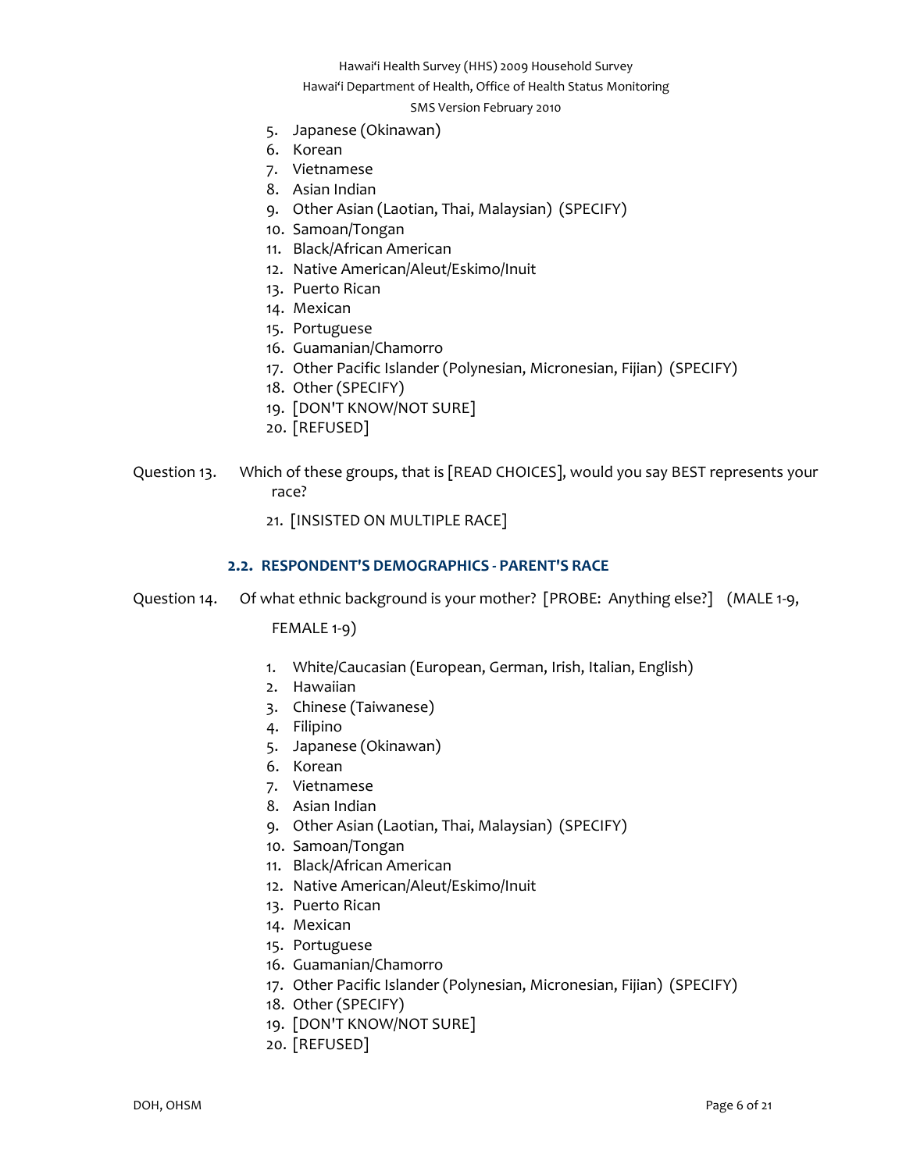Hawai'i Department of Health, Office of Health Status Monitoring

#### SMS Version February 2010

- 5. Japanese (Okinawan)
- 6. Korean
- 7. Vietnamese
- 8. Asian Indian
- 9. Other Asian (Laotian, Thai, Malaysian) (SPECIFY)
- 10. Samoan/Tongan
- 11. Black/African American
- 12. Native American/Aleut/Eskimo/Inuit
- 13. Puerto Rican
- 14. Mexican
- 15. Portuguese
- 16. Guamanian/Chamorro
- 17. Other Pacific Islander (Polynesian, Micronesian, Fijian) (SPECIFY)
- 18. Other (SPECIFY)
- 19. [DON'T KNOW/NOT SURE]
- 20. [REFUSED]
- Question 13. Which of these groups, that is [READ CHOICES], would you say BEST represents your race?
	- 21. [INSISTED ON MULTIPLE RACE]

## **2.2. RESPONDENT'S DEMOGRAPHICS ‐ PARENT'S RACE**

<span id="page-5-0"></span>Question 14. Of what ethnic background is your mother? [PROBE: Anything else?] (MALE 1-9,

FEMALE 1‐9)

- 1. White/Caucasian (European, German, Irish, Italian, English)
- 2. Hawaiian
- 3. Chinese (Taiwanese)
- 4. Filipino
- 5. Japanese (Okinawan)
- 6. Korean
- 7. Vietnamese
- 8. Asian Indian
- 9. Other Asian (Laotian, Thai, Malaysian) (SPECIFY)
- 10. Samoan/Tongan
- 11. Black/African American
- 12. Native American/Aleut/Eskimo/Inuit
- 13. Puerto Rican
- 14. Mexican
- 15. Portuguese
- 16. Guamanian/Chamorro
- 17. Other Pacific Islander (Polynesian, Micronesian, Fijian) (SPECIFY)
- 18. Other (SPECIFY)
- 19. [DON'T KNOW/NOT SURE]
- 20. [REFUSED]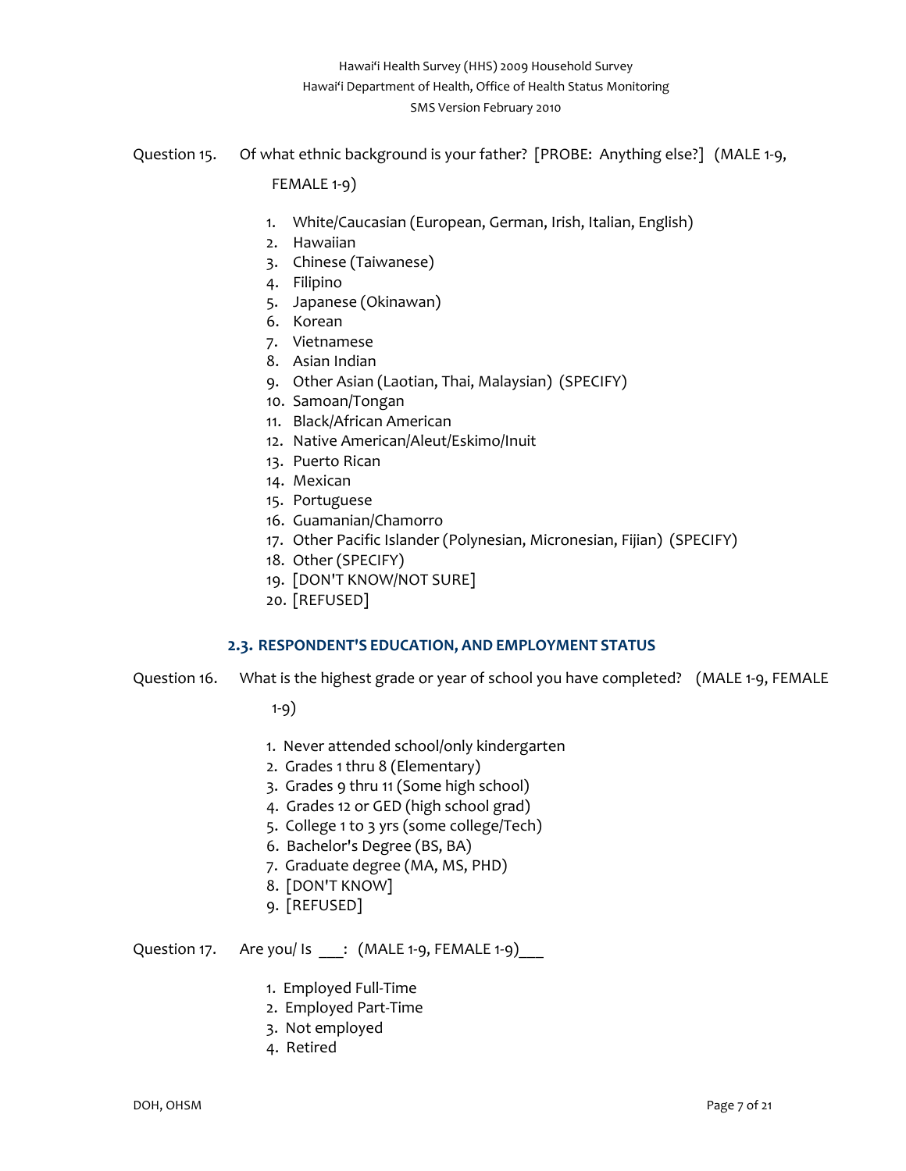Question 15. Of what ethnic background is your father? [PROBE: Anything else?] (MALE 1-9,

FEMALE 1‐9)

- 1. White/Caucasian (European, German, Irish, Italian, English)
- 2. Hawaiian
- 3. Chinese (Taiwanese)
- 4. Filipino
- 5. Japanese (Okinawan)
- 6. Korean
- 7. Vietnamese
- 8. Asian Indian
- 9. Other Asian (Laotian, Thai, Malaysian) (SPECIFY)
- 10. Samoan/Tongan
- 11. Black/African American
- 12. Native American/Aleut/Eskimo/Inuit
- 13. Puerto Rican
- 14. Mexican
- 15. Portuguese
- 16. Guamanian/Chamorro
- 17. Other Pacific Islander (Polynesian, Micronesian, Fijian) (SPECIFY)
- 18. Other (SPECIFY)
- 19. [DON'T KNOW/NOT SURE]
- 20. [REFUSED]

## **2.3. RESPONDENT'S EDUCATION, AND EMPLOYMENT STATUS**

<span id="page-6-0"></span>Question 16. What is the highest grade or year of school you have completed? (MALE 1‐9, FEMALE

1‐9)

- 1. Never attended school/only kindergarten
- 2. Grades 1 thru 8 (Elementary)
- 3. Grades 9 thru 11 (Some high school)
- 4. Grades 12 or GED (high school grad)
- 5. College 1 to 3 yrs (some college/Tech)
- 6. Bachelor's Degree (BS, BA)
- 7. Graduate degree (MA, MS, PHD)
- 8. [DON'T KNOW]
- 9. [REFUSED]

# Question 17. Are you/ Is \_\_\_: (MALE 1-9, FEMALE 1-9)\_\_\_

- 1. Employed Full‐Time
- 2. Employed Part‐Time
- 3. Not employed
- 4. Retired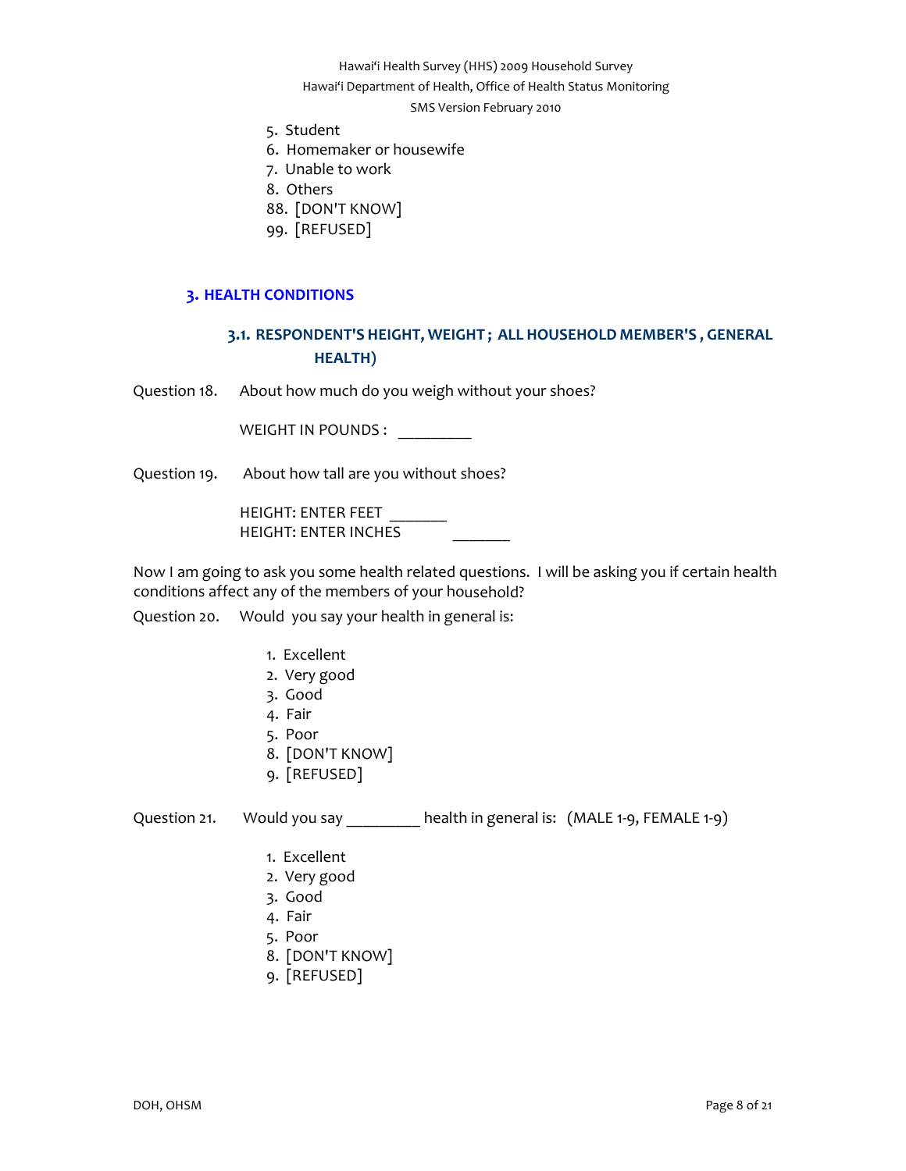Hawai'i Department of Health, Office of Health Status Monitoring

#### SMS Version February 2010

- 5. Student
- 6. Homemaker or housewife
- 7. Unable to work
- 8. Others
- 88. [DON'T KNOW]
- 99. [REFUSED]

## **3. HEALTH CONDITIONS**

# **3.1. RESPONDENT'S HEIGHT, WEIGHT ; ALL HOUSEHOLD MEMBER'S , GENERAL HEALTH)**

<span id="page-7-1"></span><span id="page-7-0"></span>Question 18. About how much do you weigh without your shoes?

WEIGHT IN POUNDS :

Question 19. About how tall are you without shoes?

HEIGHT: ENTER FEET HEIGHT: ENTER INCHES

Now I am going to ask you some health related questions. I will be asking you if certain health conditions affect any of the members of your household?

Question 20. Would you say your health in general is:

- 1. Excellent
- 2. Very good
- 3. Good
- 4. Fair
- 5. Poor
- 8. [DON'T KNOW]
- 9. [REFUSED]

Question 21. Would you say \_\_\_\_\_\_\_\_ health in general is: (MALE 1-9, FEMALE 1-9)

- 1. Excellent
- 2. Very good
- 3. Good
- 4. Fair
- 5. Poor
- 8. [DON'T KNOW]
- 9. [REFUSED]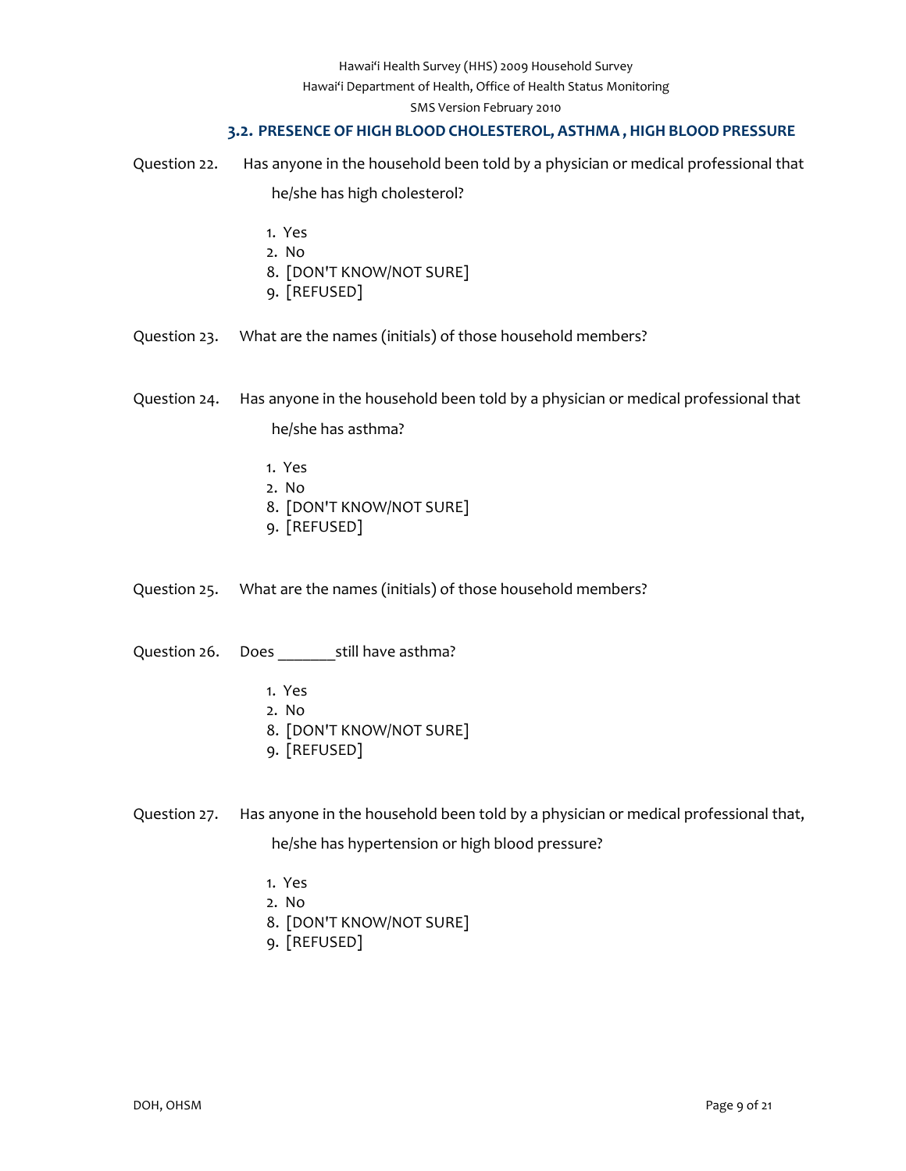Hawai'i Department of Health, Office of Health Status Monitoring

SMS Version February 2010

## **3.2. PRESENCE OF HIGH BLOOD CHOLESTEROL, ASTHMA , HIGH BLOOD PRESSURE**

<span id="page-8-0"></span>Question 22. Has anyone in the household been told by a physician or medical professional that he/she has high cholesterol?

- 1. Yes
- 2. No
- 8. [DON'T KNOW/NOT SURE]
- 9. [REFUSED]

Question 23. What are the names (initials) of those household members?

Question 24. Has anyone in the household been told by a physician or medical professional that he/she has asthma?

- 1. Yes
- 2. No
- 8. [DON'T KNOW/NOT SURE]
- 9. [REFUSED]

Question 25. What are the names (initials) of those household members?

Question 26. Does \_\_\_\_\_\_\_still have asthma?

- 1. Yes
- 2. No
- 8. [DON'T KNOW/NOT SURE]
- 9. [REFUSED]

Question 27. Has anyone in the household been told by a physician or medical professional that,

he/she has hypertension or high blood pressure?

- 1. Yes
- 2. No
- 8. [DON'T KNOW/NOT SURE]
- 9. [REFUSED]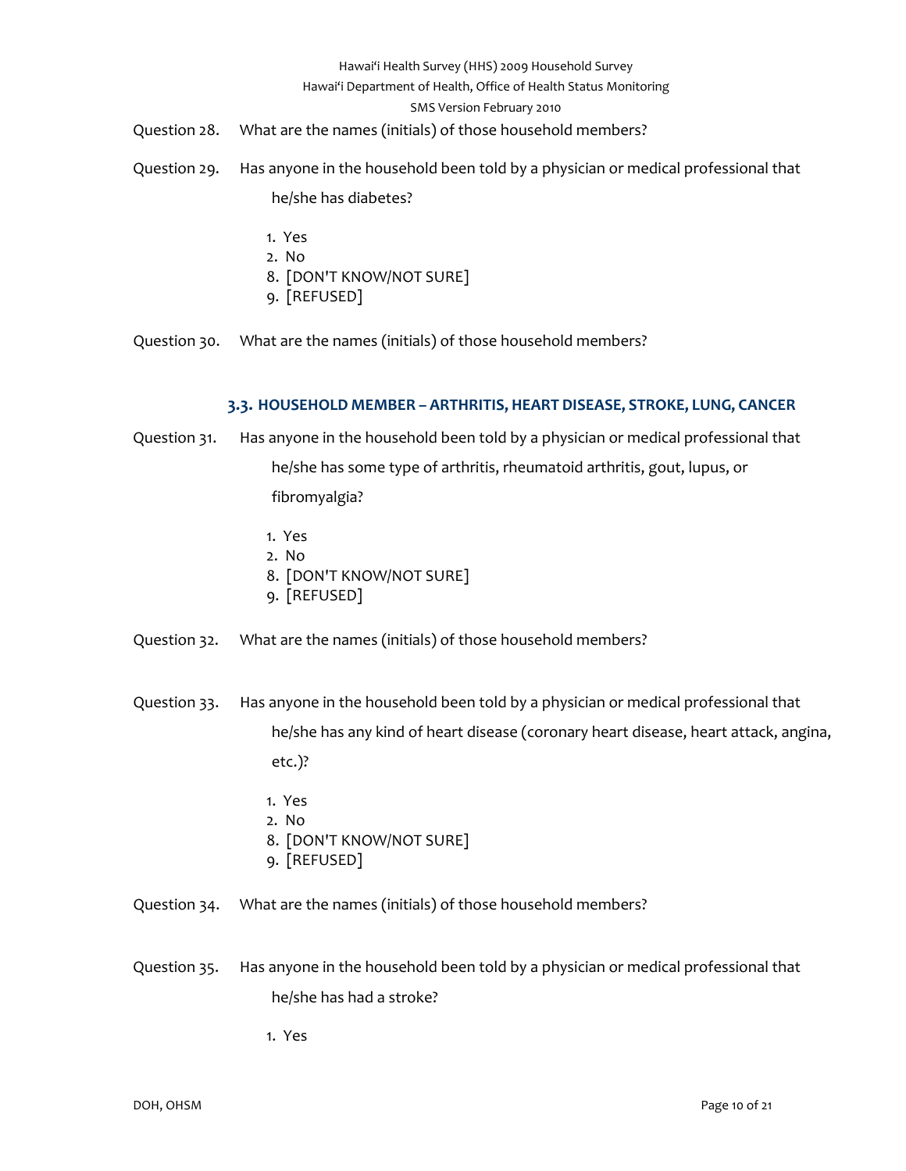#### Hawai'i Department of Health, Office of Health Status Monitoring

#### SMS Version February 2010

- Question 28. What are the names (initials) of those household members?
- Question 29. Has anyone in the household been told by a physician or medical professional that he/she has diabetes?
	-
	- 1. Yes
	- 2. No
	- 8. [DON'T KNOW/NOT SURE]
	- 9. [REFUSED]
- Question 30. What are the names (initials) of those household members?

# **3.3. HOUSEHOLD MEMBER – ARTHRITIS, HEART DISEASE, STROKE, LUNG, CANCER**

- <span id="page-9-0"></span>Question 31. Has anyone in the household been told by a physician or medical professional that he/she has some type of arthritis, rheumatoid arthritis, gout, lupus, or fibromyalgia?
	- 1. Yes
	- 2. No
	- 8. [DON'T KNOW/NOT SURE]
	- 9. [REFUSED]
- Question 32. What are the names (initials) of those household members?
- Question 33. Has anyone in the household been told by a physician or medical professional that he/she has any kind of heart disease (coronary heart disease, heart attack, angina, etc.)?
	- 1. Yes
	- 2. No
	- 8. [DON'T KNOW/NOT SURE]
	- 9. [REFUSED]
- Question 34. What are the names (initials) of those household members?
- Question 35. Has anyone in the household been told by a physician or medical professional that he/she has had a stroke?

1. Yes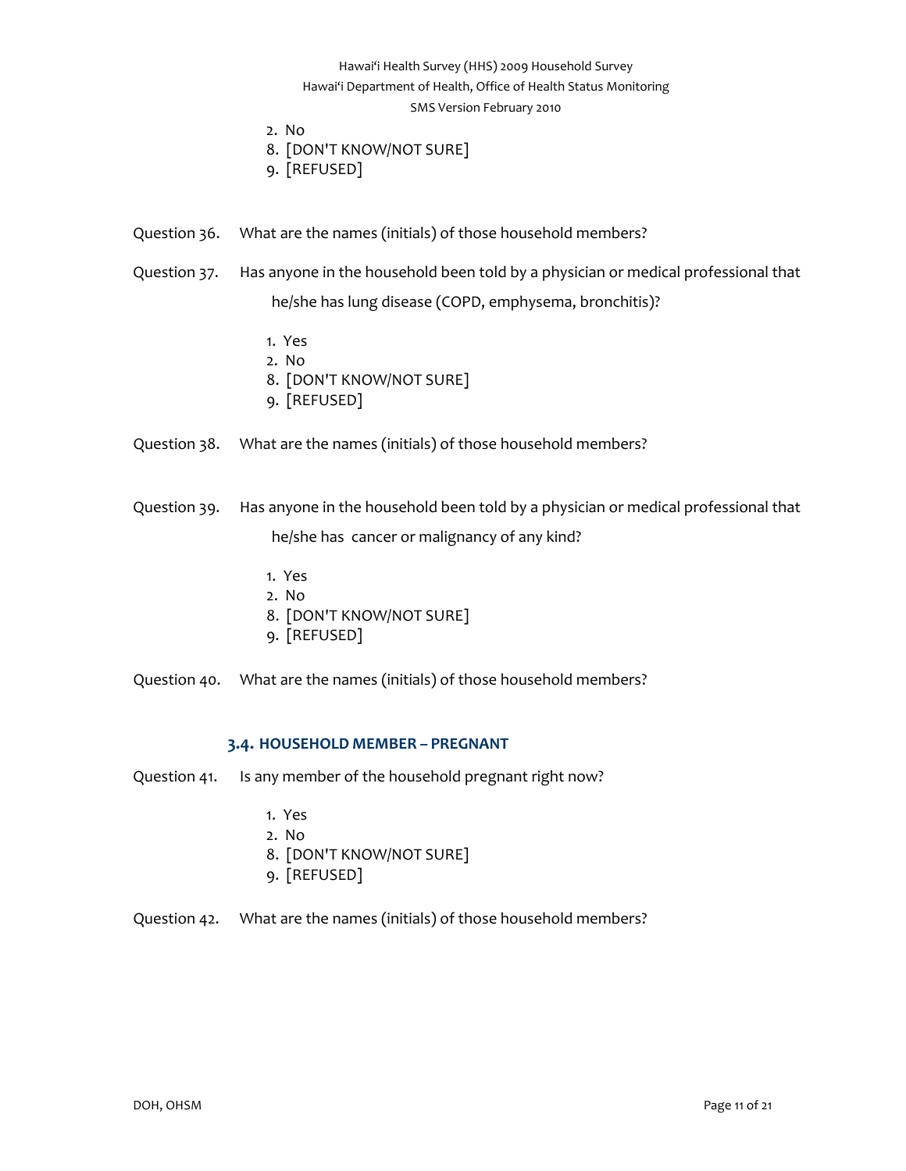# Hawai'i Health Survey (HHS) 2009 Household Survey Hawai'i Department of Health, Office of Health Status Monitoring SMS Version February 2010

- 2. No
- 8. [DON'T KNOW/NOT SURE]
- 9. [REFUSED]
- Question 36. What are the names (initials) of those household members?
- Question 37. Has anyone in the household been told by a physician or medical professional that he/she has lung disease (COPD, emphysema, bronchitis)?
	- 1. Yes
	- 2. No
	- 8. [DON'T KNOW/NOT SURE]
	- 9. [REFUSED]
- Question 38. What are the names (initials) of those household members?
- Question 39. Has anyone in the household been told by a physician or medical professional that he/she has cancer or malignancy of any kind?
	- 1. Yes
	- 2. No
	- 8. [DON'T KNOW/NOT SURE]
	- 9. [REFUSED]
- Question 40. What are the names (initials) of those household members?

## **3.4. HOUSEHOLD MEMBER – PREGNANT**

- <span id="page-10-0"></span>Question 41. Is any member of the household pregnant right now?
	- 1. Yes
	- 2. No
	- 8. [DON'T KNOW/NOT SURE]
	- 9. [REFUSED]
- Question 42. What are the names (initials) of those household members?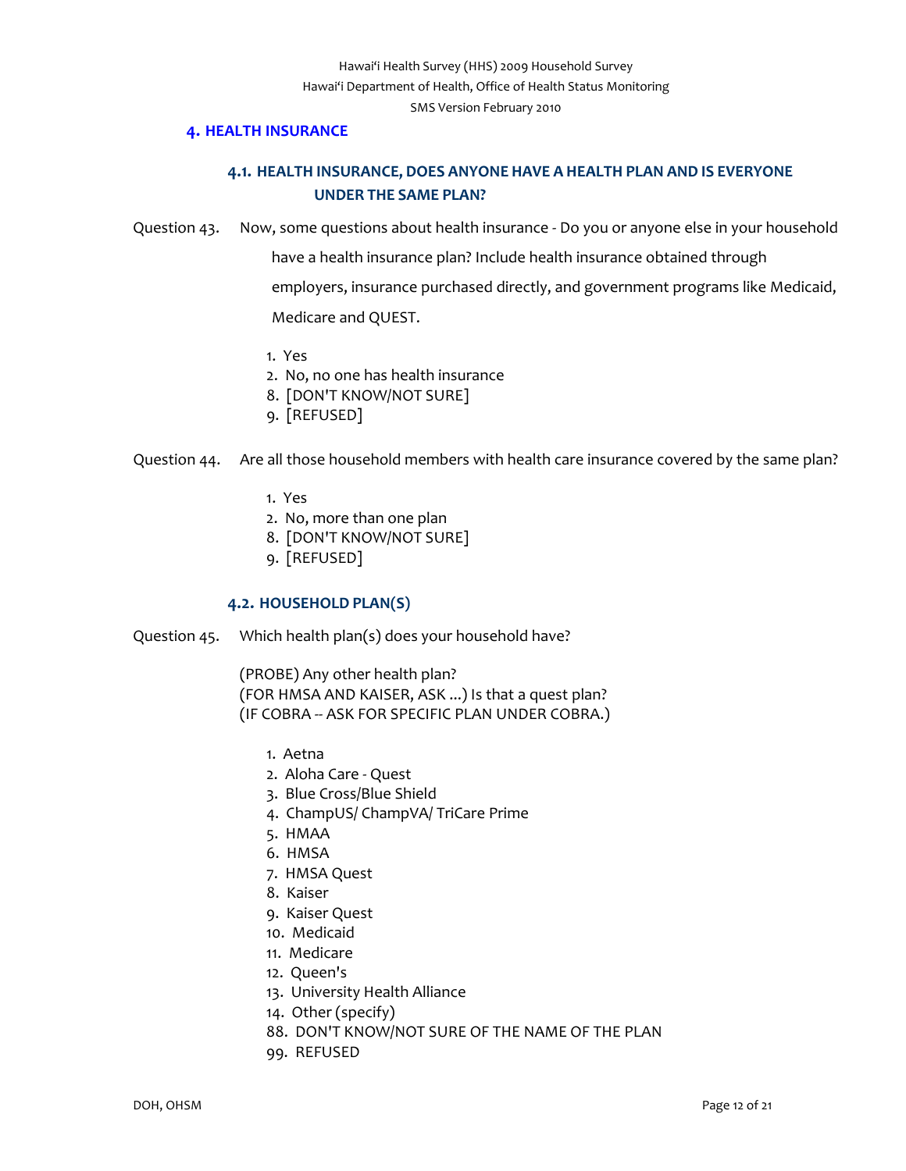#### **4. HEALTH INSURANCE**

# **4.1. HEALTH INSURANCE, DOES ANYONE HAVE A HEALTH PLAN AND IS EVERYONE UNDER THE SAME PLAN?**

<span id="page-11-1"></span><span id="page-11-0"></span>Question 43. Now, some questions about health insurance ‐ Do you or anyone else in your household

have a health insurance plan? Include health insurance obtained through

employers, insurance purchased directly, and government programs like Medicaid,

Medicare and QUEST.

- 1. Yes
- 2. No, no one has health insurance
- 8. [DON'T KNOW/NOT SURE]
- 9. [REFUSED]

## Question 44. Are all those household members with health care insurance covered by the same plan?

- 1. Yes
- 2. No, more than one plan
- 8. [DON'T KNOW/NOT SURE]
- 9. [REFUSED]

## **4.2. HOUSEHOLD PLAN(S)**

<span id="page-11-2"></span>Question 45. Which health plan(s) does your household have?

(PROBE) Any other health plan? (FOR HMSA AND KAISER, ASK ...) Is that a quest plan? (IF COBRA ‐‐ ASK FOR SPECIFIC PLAN UNDER COBRA.)

- 1. Aetna
- 2. Aloha Care ‐ Quest
- 3. Blue Cross/Blue Shield
- 4. ChampUS/ ChampVA/ TriCare Prime
- 5. HMAA
- 6. HMSA
- 7. HMSA Quest
- 8. Kaiser
- 9. Kaiser Quest
- 10. Medicaid
- 11. Medicare
- 12. Queen's
- 13. University Health Alliance
- 14. Other (specify)
- 88. DON'T KNOW/NOT SURE OF THE NAME OF THE PLAN
- 99. REFUSED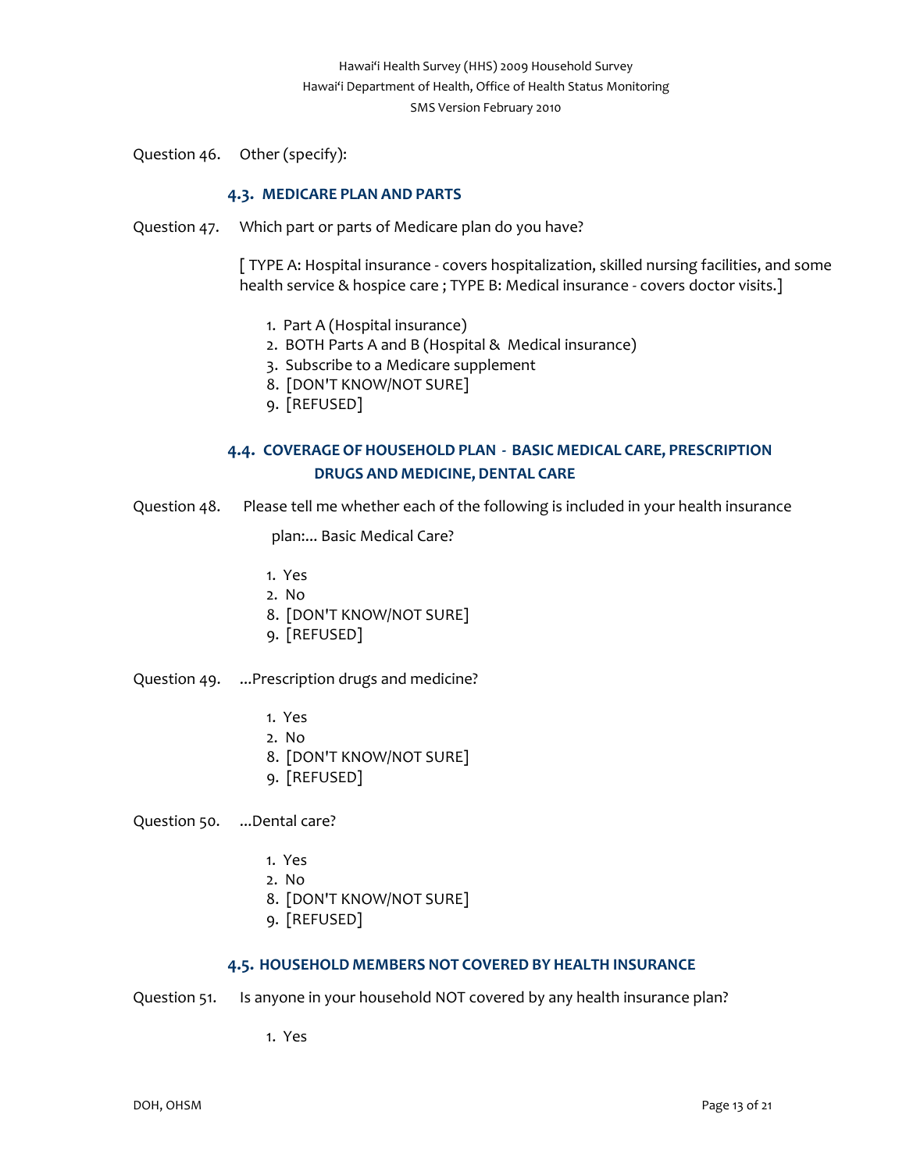Question 46. Other (specify):

# **4.3. MEDICARE PLAN AND PARTS**

<span id="page-12-0"></span>Question 47. Which part or parts of Medicare plan do you have?

[ TYPE A: Hospital insurance ‐ covers hospitalization, skilled nursing facilities, and some health service & hospice care ; TYPE B: Medical insurance - covers doctor visits.]

- 1. Part A (Hospital insurance)
- 2. BOTH Parts A and B (Hospital & Medical insurance)
- 3. Subscribe to a Medicare supplement
- 8. [DON'T KNOW/NOT SURE]
- 9. [REFUSED]

# **4.4. COVERAGE OF HOUSEHOLD PLAN ‐ BASIC MEDICAL CARE, PRESCRIPTION DRUGS AND MEDICINE, DENTAL CARE**

<span id="page-12-1"></span>Question 48. Please tell me whether each of the following is included in your health insurance

plan:... Basic Medical Care?

- 1. Yes
- 2. No
- 8. [DON'T KNOW/NOT SURE]
- 9. [REFUSED]
- Question 49. ...Prescription drugs and medicine?
	- 1. Yes
	- 2. No
	- 8. [DON'T KNOW/NOT SURE]
	- 9. [REFUSED]

Question 50. ...Dental care?

- 1. Yes
- 2. No
- 8. [DON'T KNOW/NOT SURE]
- 9. [REFUSED]

## **4.5. HOUSEHOLD MEMBERS NOT COVERED BY HEALTH INSURANCE**

<span id="page-12-2"></span>Question 51. Is anyone in your household NOT covered by any health insurance plan?

1. Yes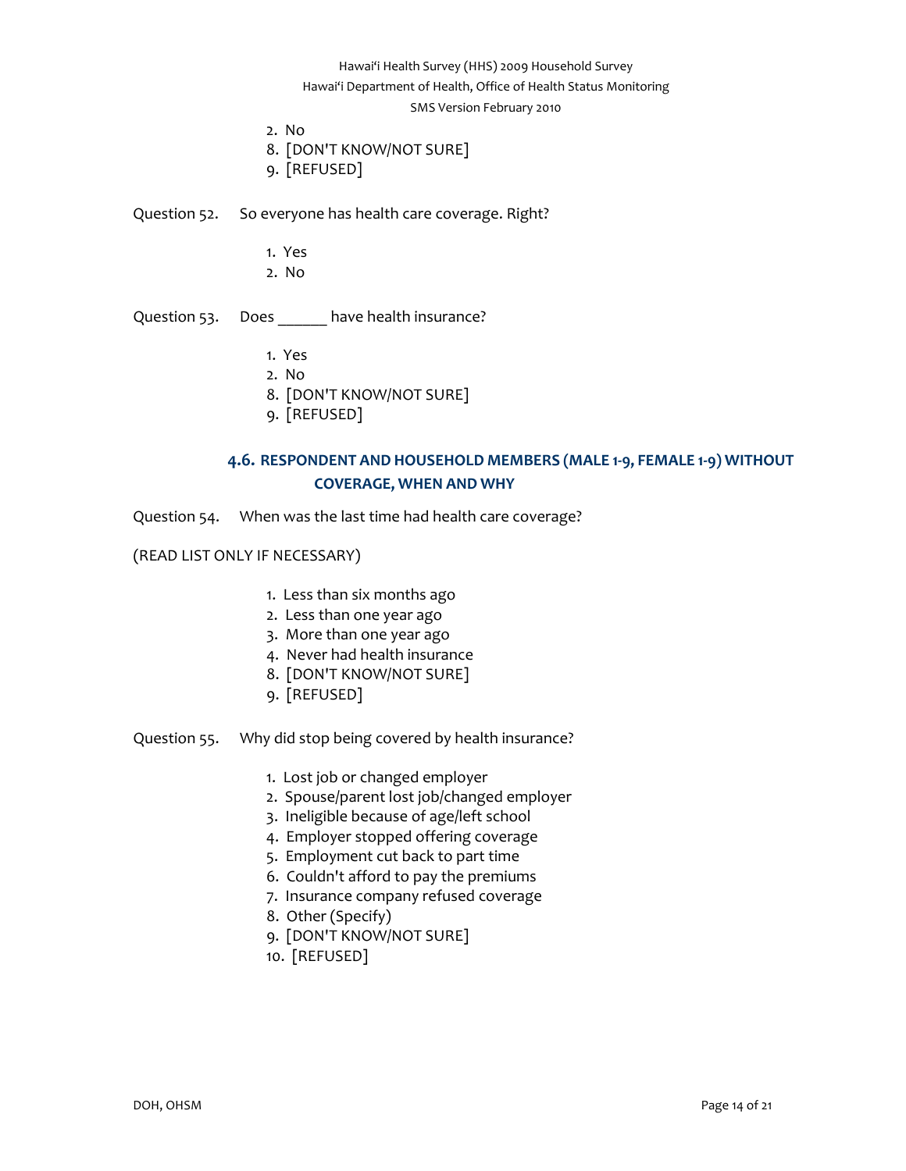Hawai'i Department of Health, Office of Health Status Monitoring

#### SMS Version February 2010

2. No

8. [DON'T KNOW/NOT SURE]

9. [REFUSED]

Question 52. So everyone has health care coverage. Right?

- 1. Yes
- 2. No

Question 53. Does \_\_\_\_\_\_ have health insurance?

- 1. Yes
- 2. No
- 8. [DON'T KNOW/NOT SURE]
- 9. [REFUSED]

# **4.6. RESPONDENT AND HOUSEHOLD MEMBERS (MALE 1‐9, FEMALE 1‐9) WITHOUT COVERAGE, WHEN AND WHY**

<span id="page-13-0"></span>Question 54. When was the last time had health care coverage?

## (READ LIST ONLY IF NECESSARY)

- 1. Less than six months ago
- 2. Less than one year ago
- 3. More than one year ago
- 4. Never had health insurance
- 8. [DON'T KNOW/NOT SURE]
- 9. [REFUSED]
- Question 55. Why did stop being covered by health insurance?
	- 1. Lost job or changed employer
	- 2. Spouse/parent lost job/changed employer
	- 3. Ineligible because of age/left school
	- 4. Employer stopped offering coverage
	- 5. Employment cut back to part time
	- 6. Couldn't afford to pay the premiums
	- 7. Insurance company refused coverage
	- 8. Other (Specify)
	- 9. [DON'T KNOW/NOT SURE]
	- 10. [REFUSED]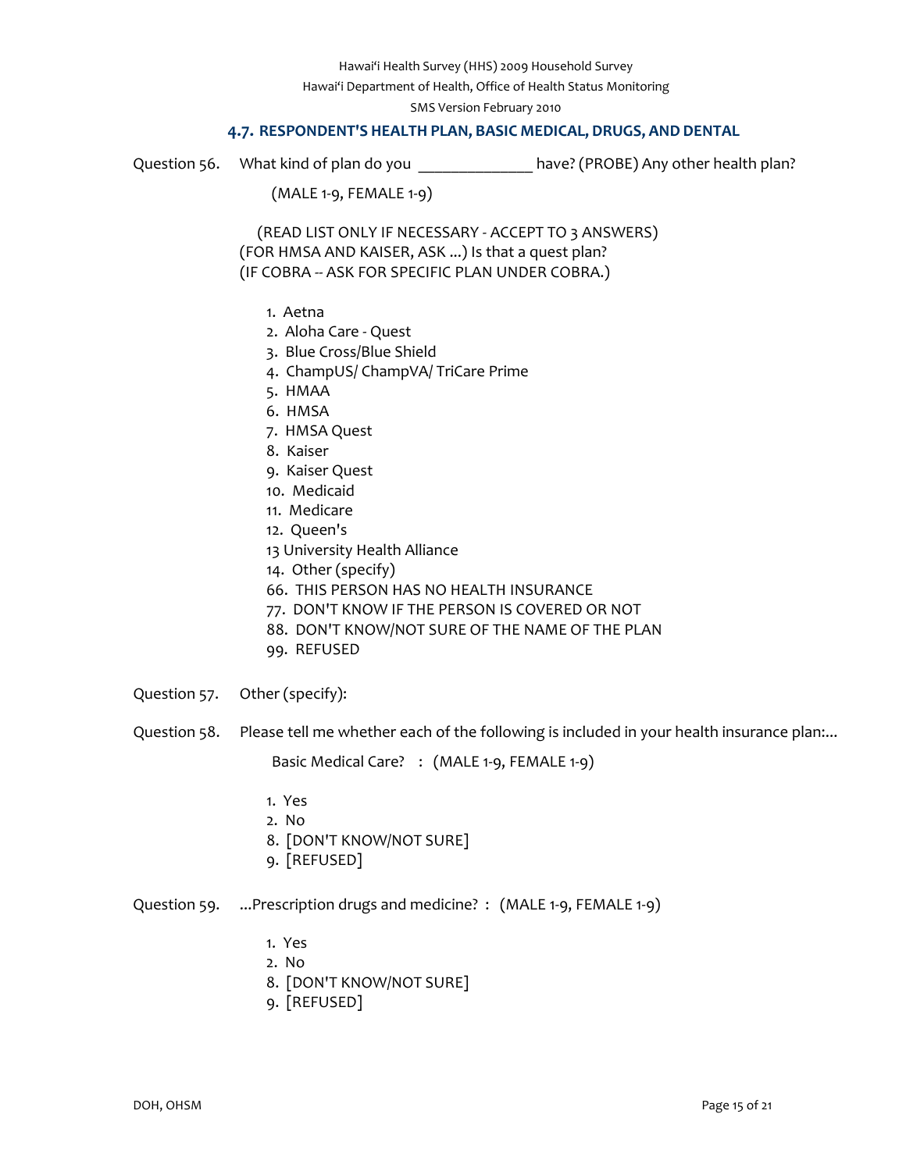Hawai'i Department of Health, Office of Health Status Monitoring

SMS Version February 2010

## **4.7. RESPONDENT'S HEALTH PLAN, BASIC MEDICAL, DRUGS, AND DENTAL**

<span id="page-14-0"></span>

Question 56. What kind of plan do you **that contained to be ably contained a** have? (PROBE) Any other health plan?

(MALE 1‐9, FEMALE 1‐9)

 (READ LIST ONLY IF NECESSARY ‐ ACCEPT TO 3 ANSWERS) (FOR HMSA AND KAISER, ASK ...) Is that a quest plan? (IF COBRA ‐‐ ASK FOR SPECIFIC PLAN UNDER COBRA.)

- 1. Aetna
- 2. Aloha Care ‐ Quest
- 3. Blue Cross/Blue Shield
- 4. ChampUS/ ChampVA/ TriCare Prime
- 5. HMAA
- 6. HMSA
- 7. HMSA Quest
- 8. Kaiser
- 9. Kaiser Quest
- 10. Medicaid
- 11. Medicare
- 12. Queen's
- 13 University Health Alliance
- 14. Other (specify)
- 66. THIS PERSON HAS NO HEALTH INSURANCE
- 77. DON'T KNOW IF THE PERSON IS COVERED OR NOT
- 88. DON'T KNOW/NOT SURE OF THE NAME OF THE PLAN
- 99. REFUSED
- Question 57. Other (specify):
- Question 58. Please tell me whether each of the following is included in your health insurance plan:...

Basic Medical Care? : (MALE 1-9, FEMALE 1-9)

- 1. Yes
- 2. No
- 8. [DON'T KNOW/NOT SURE]
- 9. [REFUSED]

Question 59. ...Prescription drugs and medicine? : (MALE 1-9, FEMALE 1-9)

- 1. Yes
- 2. No
- 8. [DON'T KNOW/NOT SURE]
- 9. [REFUSED]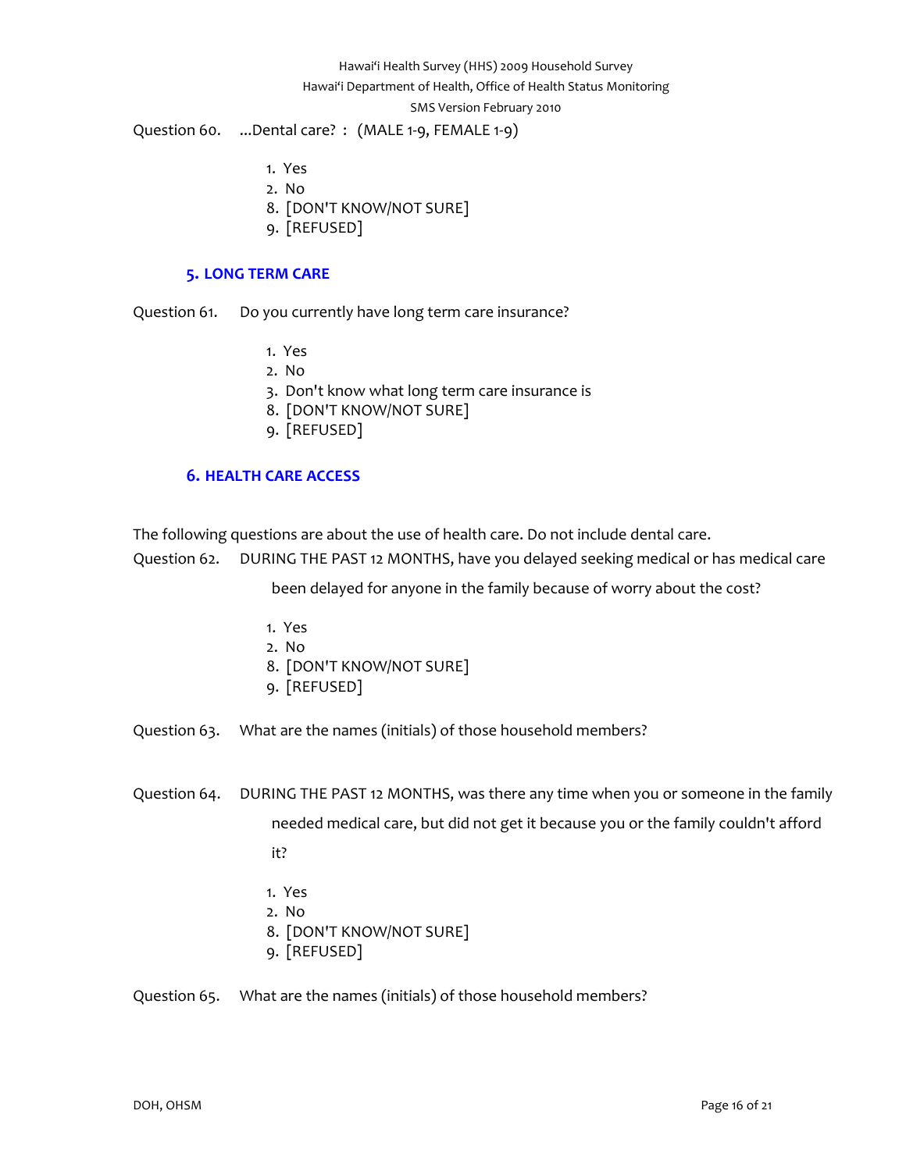# Hawai'i Health Survey (HHS) 2009 Household Survey Hawai'i Department of Health, Office of Health Status Monitoring SMS Version February 2010 Question 60. ...Dental care? : (MALE 1-9, FEMALE 1-9)

- 1. Yes
- 2. No
- 8. [DON'T KNOW/NOT SURE]
- 9. [REFUSED]

## **5. LONG TERM CARE**

<span id="page-15-0"></span>Question 61. Do you currently have long term care insurance?

- 1. Yes
- 2. No
- 3. Don't know what long term care insurance is
- 8. [DON'T KNOW/NOT SURE]
- 9. [REFUSED]

# **6. HEALTH CARE ACCESS**

<span id="page-15-1"></span>The following questions are about the use of health care. Do not include dental care.

Question 62. DURING THE PAST 12 MONTHS, have you delayed seeking medical or has medical care

been delayed for anyone in the family because of worry about the cost?

- 1. Yes
- 2. No
- 8. [DON'T KNOW/NOT SURE]
- 9. [REFUSED]
- Question 63. What are the names (initials) of those household members?
- Question 64. DURING THE PAST 12 MONTHS, was there any time when you or someone in the family needed medical care, but did not get it because you or the family couldn't afford
	- it?
	- 1. Yes
	- 2. No
	- 8. [DON'T KNOW/NOT SURE]
	- 9. [REFUSED]

Question 65. What are the names (initials) of those household members?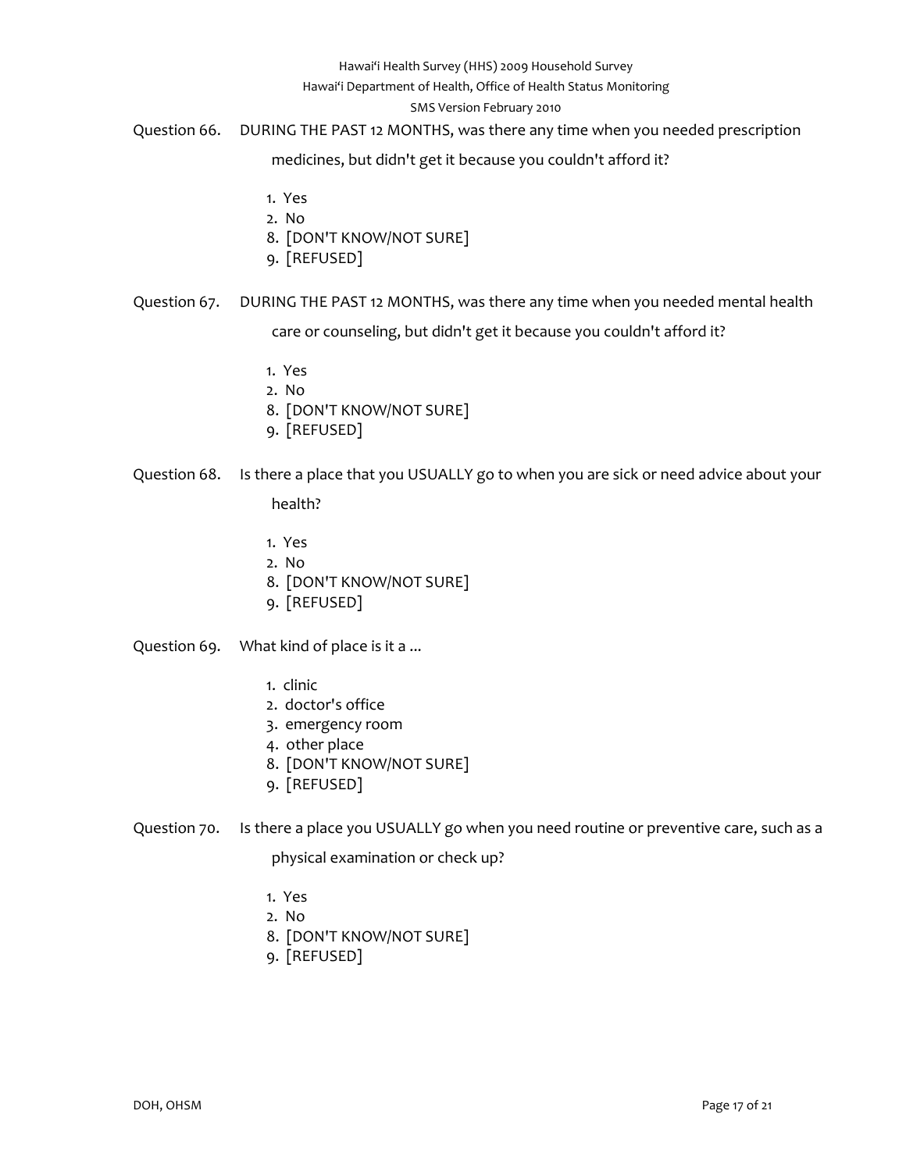#### Hawai'i Department of Health, Office of Health Status Monitoring

#### SMS Version February 2010

Question 66. DURING THE PAST 12 MONTHS, was there any time when you needed prescription

medicines, but didn't get it because you couldn't afford it?

- 1. Yes
- 2. No
- 8. [DON'T KNOW/NOT SURE]
- 9. [REFUSED]

Question 67. DURING THE PAST 12 MONTHS, was there any time when you needed mental health

care or counseling, but didn't get it because you couldn't afford it?

- 1. Yes
- 2. No
- 8. [DON'T KNOW/NOT SURE]
- 9. [REFUSED]

# Question 68. Is there a place that you USUALLY go to when you are sick or need advice about your

## health?

- 1. Yes
- 2. No
- 8. [DON'T KNOW/NOT SURE]
- 9. [REFUSED]

Question 69. What kind of place is it a ...

- 1. clinic
- 2. doctor's office
- 3. emergency room
- 4. other place
- 8. [DON'T KNOW/NOT SURE]
- 9. [REFUSED]
- Question 70. Is there a place you USUALLY go when you need routine or preventive care, such as a

physical examination or check up?

- 1. Yes
- 2. No
- 8. [DON'T KNOW/NOT SURE]
- 9. [REFUSED]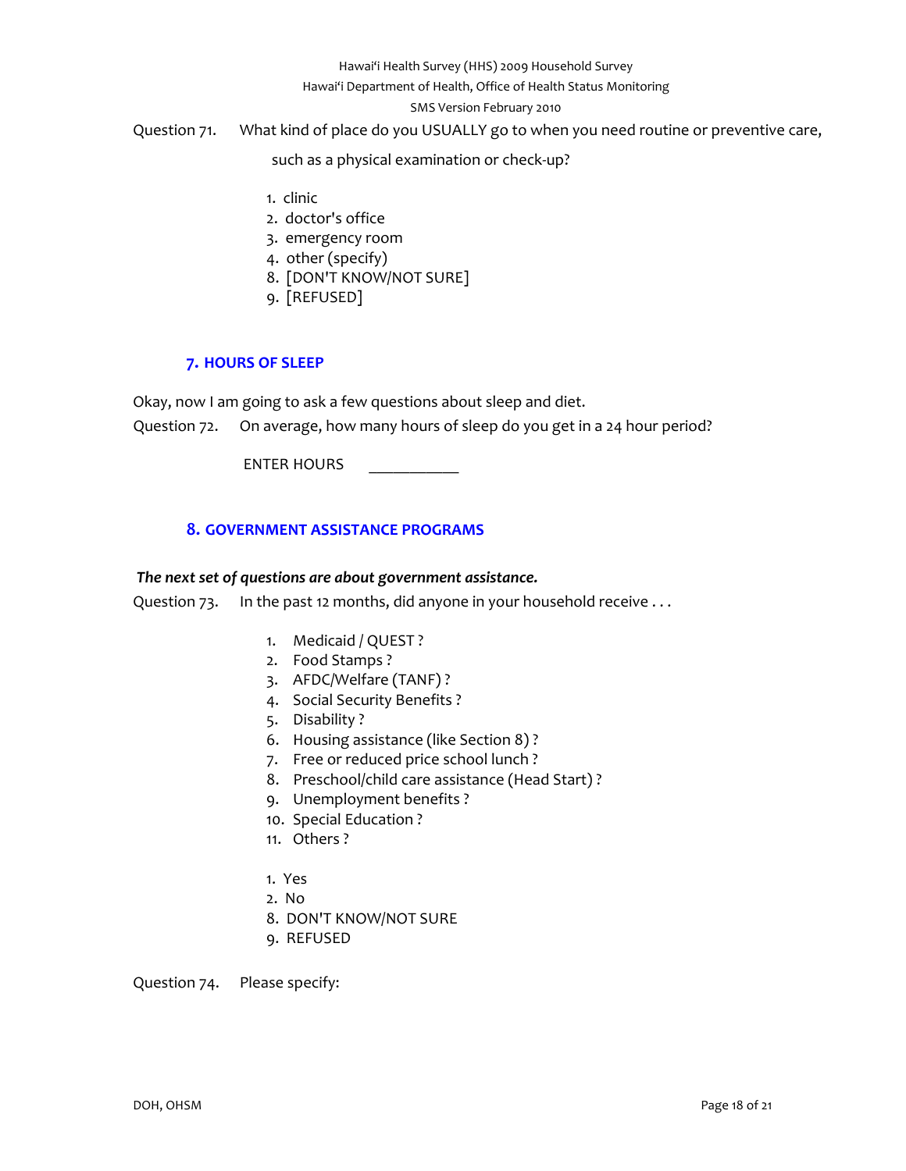#### Hawai'i Department of Health, Office of Health Status Monitoring

#### SMS Version February 2010

# Question 71. What kind of place do you USUALLY go to when you need routine or preventive care,

such as a physical examination or check‐up?

- 1. clinic
- 2. doctor's office
- 3. emergency room
- 4. other (specify)
- 8. [DON'T KNOW/NOT SURE]
- 9. [REFUSED]

# **7. HOURS OF SLEEP**

<span id="page-17-0"></span>Okay, now I am going to ask a few questions about sleep and diet.

Question 72. On average, how many hours of sleep do you get in a 24 hour period?

ENTER HOURS

# **8. GOVERNMENT ASSISTANCE PROGRAMS**

#### <span id="page-17-1"></span>*The next set of questions are about government assistance.*

Question 73. In the past 12 months, did anyone in your household receive ...

- 1. Medicaid / QUEST ?
- 2. Food Stamps ?
- 3. AFDC/Welfare (TANF) ?
- 4. Social Security Benefits ?
- 5. Disability ?
- 6. Housing assistance (like Section 8) ?
- 7. Free or reduced price school lunch ?
- 8. Preschool/child care assistance (Head Start) ?
- 9. Unemployment benefits ?
- 10. Special Education ?
- 11. Others ?
- 1. Yes
- 2. No
- 8. DON'T KNOW/NOT SURE
- 9. REFUSED

Question 74. Please specify: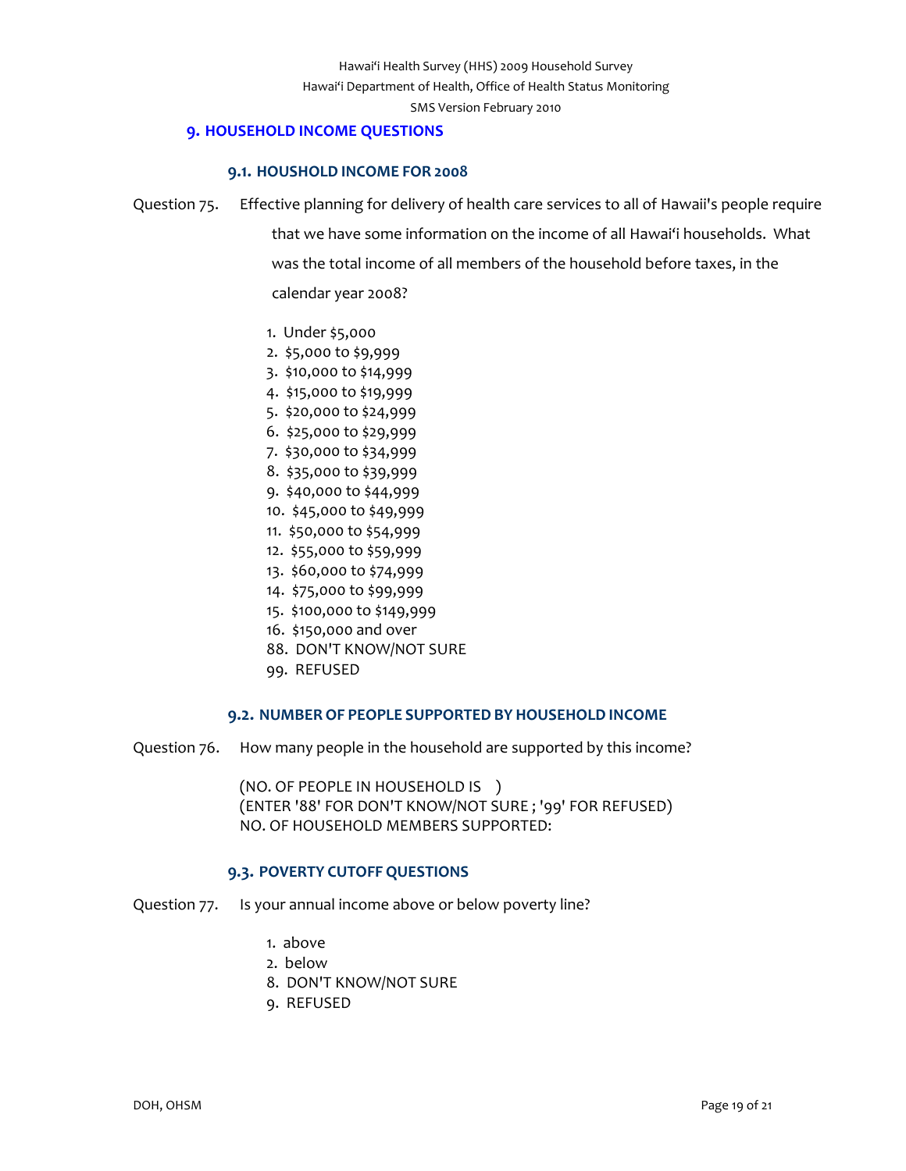## **9. HOUSEHOLD INCOME QUESTIONS**

#### **9.1. HOUSHOLD INCOME FOR 2008**

- <span id="page-18-1"></span><span id="page-18-0"></span>Question 75. Effective planning for delivery of health care services to all of Hawaii's people require that we have some information on the income of all Hawai'i households. What was the total income of all members of the household before taxes, in the calendar year 2008?
	- 1. Under \$5,000
	- 2. \$5,000 to \$9,999
	- 3. \$10,000 to \$14,999
	- 4. \$15,000 to \$19,999
	- 5. \$20,000 to \$24,999
	- 6. \$25,000 to \$29,999
	- 7. \$30,000 to \$34,999
	- 8. \$35,000 to \$39,999
	- 9. \$40,000 to \$44,999
	- 10. \$45,000 to \$49,999
	- 11. \$50,000 to \$54,999
	- 12. \$55,000 to \$59,999
	- 13. \$60,000 to \$74,999
	- 14. \$75,000 to \$99,999
	- 15. \$100,000 to \$149,999
	- 16. \$150,000 and over
	- 88. DON'T KNOW/NOT SURE
	- 99. REFUSED

#### **9.2. NUMBER OF PEOPLE SUPPORTED BY HOUSEHOLD INCOME**

<span id="page-18-2"></span>Question 76. How many people in the household are supported by this income?

(NO. OF PEOPLE IN HOUSEHOLD IS ) (ENTER '88' FOR DON'T KNOW/NOT SURE ; '99' FOR REFUSED) NO. OF HOUSEHOLD MEMBERS SUPPORTED:

## **9.3. POVERTY CUTOFF QUESTIONS**

<span id="page-18-3"></span>Question 77. Is your annual income above or below poverty line?

- 1. above
- 2. below
- 8. DON'T KNOW/NOT SURE
- 9. REFUSED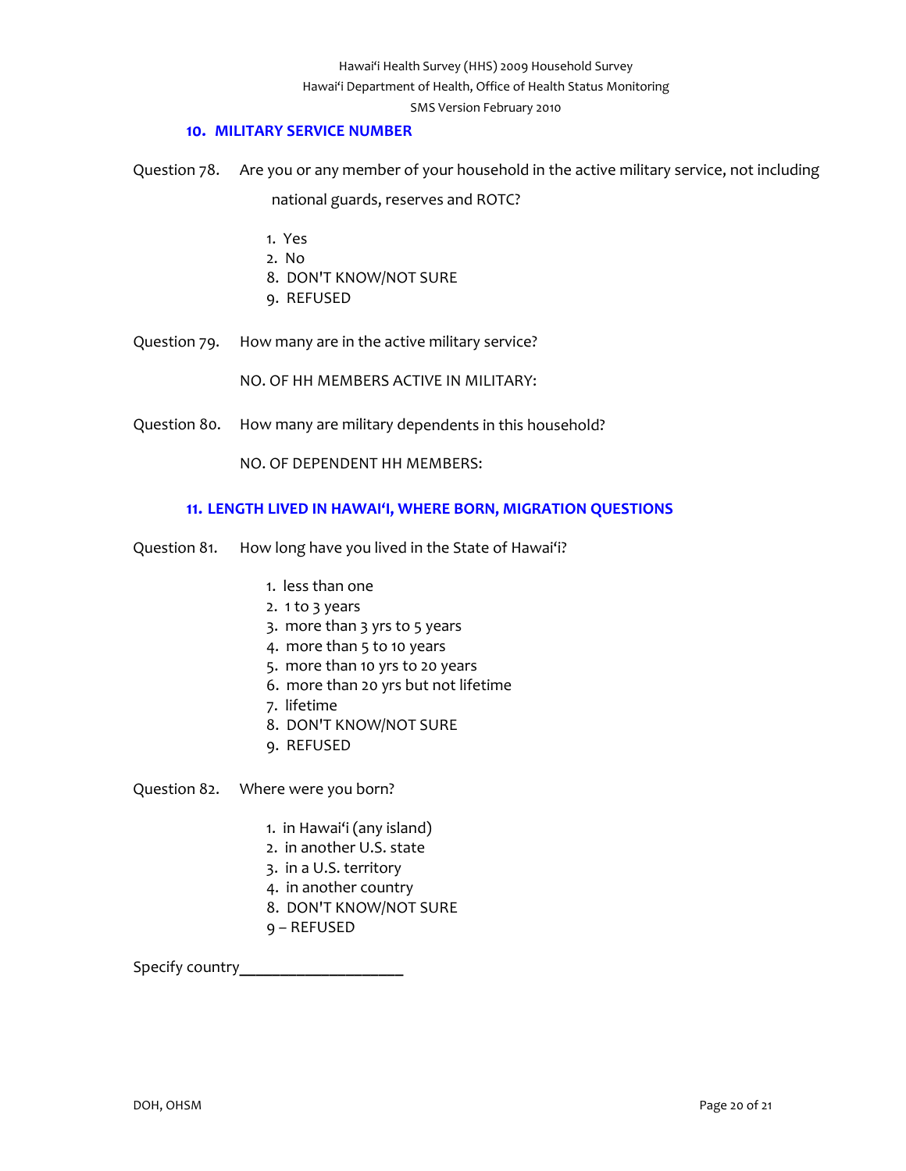## **10. MILITARY SERVICE NUMBER**

<span id="page-19-0"></span>Question 78. Are you or any member of your household in the active military service, not including national guards, reserves and ROTC?

- 1. Yes
- 2. No
- 8. DON'T KNOW/NOT SURE
- 9. REFUSED
- Question 79. How many are in the active military service?

NO. OF HH MEMBERS ACTIVE IN MILITARY:

Question 80. How many are military dependents in this household?

NO. OF DEPENDENT HH MEMBERS:

#### **11. LENGTH LIVED IN HAWAI'I, WHERE BORN, MIGRATION QUESTIONS**

- <span id="page-19-1"></span>Question 81. How long have you lived in the State of Hawai'i?
	- 1. less than one
	- 2. 1 to 3 years
	- 3. more than 3 yrs to 5 years
	- 4. more than 5 to 10 years
	- 5. more than 10 yrs to 20 years
	- 6. more than 20 yrs but not lifetime
	- 7. lifetime
	- 8. DON'T KNOW/NOT SURE
	- 9. REFUSED

Question 82. Where were you born?

- 1. in Hawai'i (any island)
- 2. in another U.S. state
- 3. in a U.S. territory
- 4. in another country
- 8. DON'T KNOW/NOT SURE
- 9 REFUSED

Specify country**\_\_\_\_\_\_\_\_\_\_\_\_\_\_\_\_\_\_\_\_**